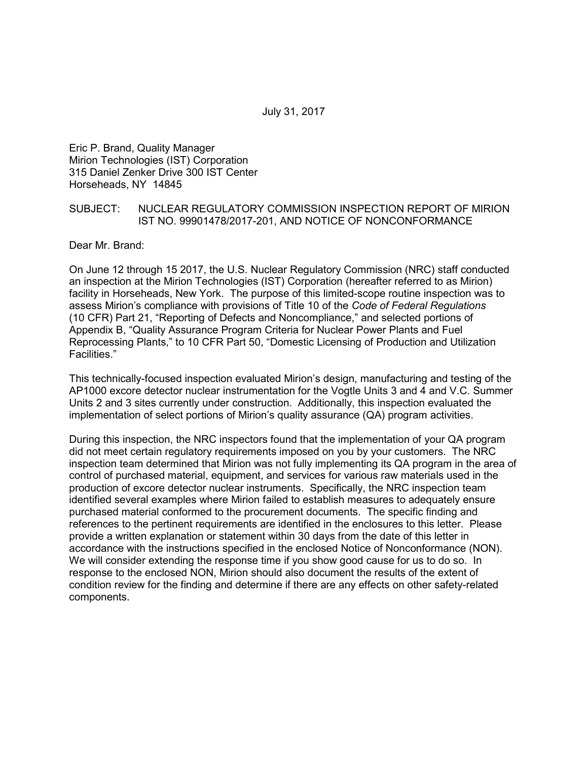July 31, 2017

Eric P. Brand, Quality Manager Mirion Technologies (IST) Corporation 315 Daniel Zenker Drive 300 IST Center Horseheads, NY 14845

#### SUBJECT: NUCLEAR REGULATORY COMMISSION INSPECTION REPORT OF MIRION IST NO. 99901478/2017-201, AND NOTICE OF NONCONFORMANCE

Dear Mr. Brand:

On June 12 through 15 2017, the U.S. Nuclear Regulatory Commission (NRC) staff conducted an inspection at the Mirion Technologies (IST) Corporation (hereafter referred to as Mirion) facility in Horseheads, New York. The purpose of this limited-scope routine inspection was to assess Mirion's compliance with provisions of Title 10 of the *Code of Federal Regulations* (10 CFR) Part 21, "Reporting of Defects and Noncompliance," and selected portions of Appendix B, "Quality Assurance Program Criteria for Nuclear Power Plants and Fuel Reprocessing Plants," to 10 CFR Part 50, "Domestic Licensing of Production and Utilization Facilities."

This technically-focused inspection evaluated Mirion's design, manufacturing and testing of the AP1000 excore detector nuclear instrumentation for the Vogtle Units 3 and 4 and V.C. Summer Units 2 and 3 sites currently under construction. Additionally, this inspection evaluated the implementation of select portions of Mirion's quality assurance (QA) program activities.

During this inspection, the NRC inspectors found that the implementation of your QA program did not meet certain regulatory requirements imposed on you by your customers. The NRC inspection team determined that Mirion was not fully implementing its QA program in the area of control of purchased material, equipment, and services for various raw materials used in the production of excore detector nuclear instruments. Specifically, the NRC inspection team identified several examples where Mirion failed to establish measures to adequately ensure purchased material conformed to the procurement documents. The specific finding and references to the pertinent requirements are identified in the enclosures to this letter. Please provide a written explanation or statement within 30 days from the date of this letter in accordance with the instructions specified in the enclosed Notice of Nonconformance (NON). We will consider extending the response time if you show good cause for us to do so. In response to the enclosed NON, Mirion should also document the results of the extent of condition review for the finding and determine if there are any effects on other safety-related components.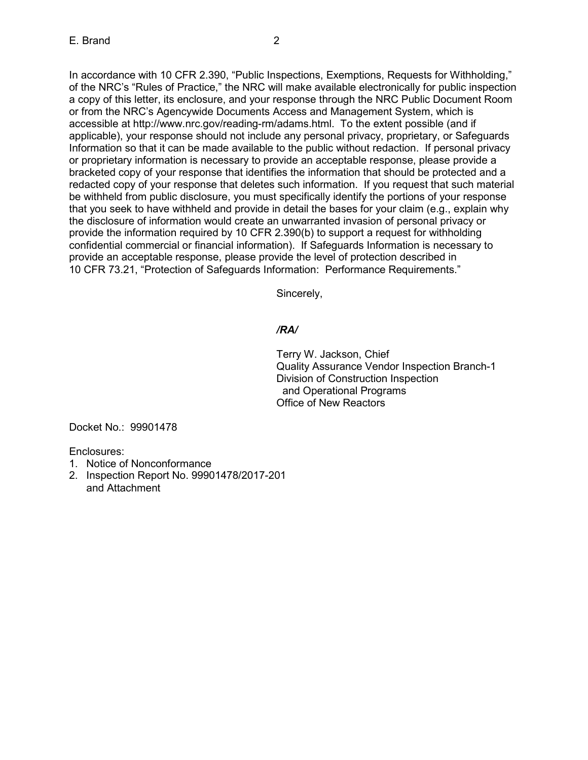In accordance with 10 CFR 2.390, "Public Inspections, Exemptions, Requests for Withholding," of the NRC's "Rules of Practice," the NRC will make available electronically for public inspection a copy of this letter, its enclosure, and your response through the NRC Public Document Room or from the NRC's Agencywide Documents Access and Management System, which is accessible at http://www.nrc.gov/reading-rm/adams.html. To the extent possible (and if applicable), your response should not include any personal privacy, proprietary, or Safeguards Information so that it can be made available to the public without redaction. If personal privacy or proprietary information is necessary to provide an acceptable response, please provide a bracketed copy of your response that identifies the information that should be protected and a redacted copy of your response that deletes such information. If you request that such material be withheld from public disclosure, you must specifically identify the portions of your response that you seek to have withheld and provide in detail the bases for your claim (e.g., explain why the disclosure of information would create an unwarranted invasion of personal privacy or provide the information required by 10 CFR 2.390(b) to support a request for withholding confidential commercial or financial information). If Safeguards Information is necessary to provide an acceptable response, please provide the level of protection described in 10 CFR 73.21, "Protection of Safeguards Information: Performance Requirements."

Sincerely,

# */RA/*

Terry W. Jackson, Chief Quality Assurance Vendor Inspection Branch-1 Division of Construction Inspection and Operational Programs Office of New Reactors

Docket No.: 99901478

Enclosures:

- 1. Notice of Nonconformance
- 2. Inspection Report No. 99901478/2017-201 and Attachment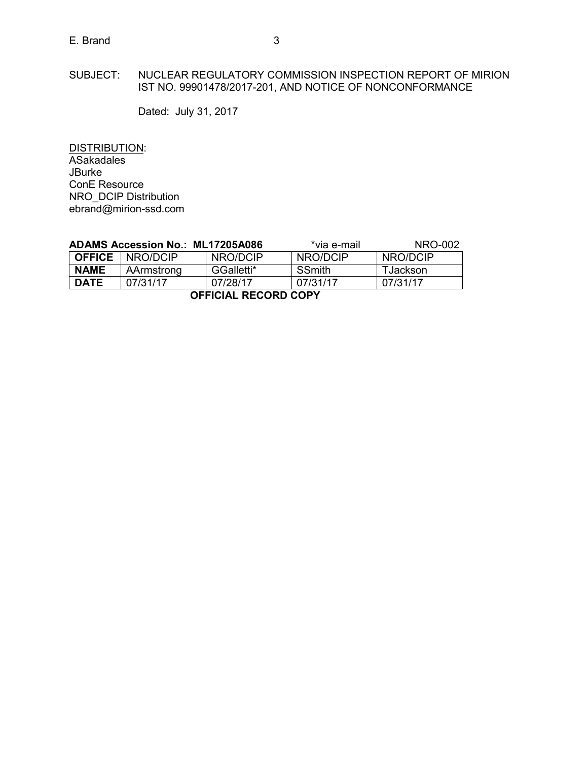# E. Brand 3

Dated: July 31, 2017

DISTRIBUTION: ASakadales JBurke ConE Resource NRO\_DCIP Distribution ebrand@mirion-ssd.com

| ADAMS Accession No.: ML17205A086 |            |            | *via e-mail   | NRO-002  |  |  |
|----------------------------------|------------|------------|---------------|----------|--|--|
| <b>OFFICE</b>                    | NRO/DCIP   | NRO/DCIP   | NRO/DCIP      | NRO/DCIP |  |  |
| <b>NAME</b>                      | AArmstrong | GGalletti* | <b>SSmith</b> | TJackson |  |  |
| <b>DATE</b>                      | 07/31/17   | 07/28/17   | 07/31/17      | 07/31/17 |  |  |
| <b>OFFICIAL RECORD COPY</b>      |            |            |               |          |  |  |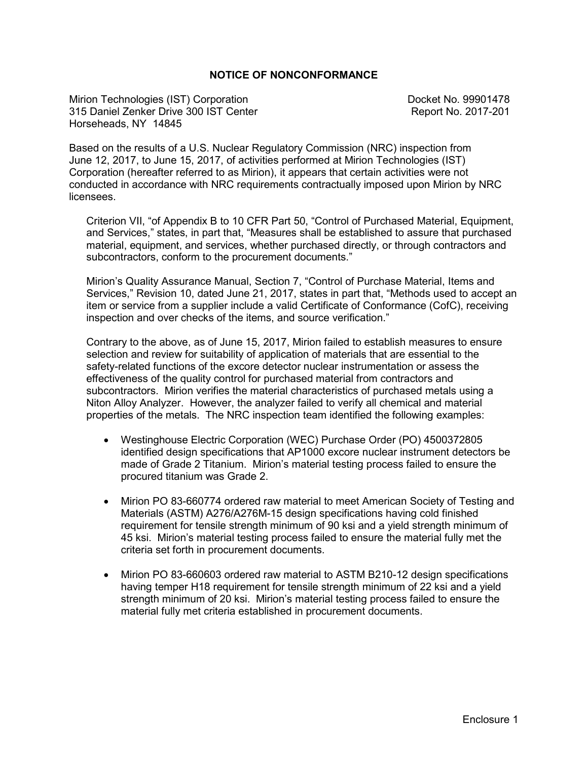### **NOTICE OF NONCONFORMANCE**

Mirion Technologies (IST) Corporation **Docket No. 99901478** 315 Daniel Zenker Drive 300 IST Center **Report No. 2017-201** Horseheads, NY 14845

Based on the results of a U.S. Nuclear Regulatory Commission (NRC) inspection from June 12, 2017, to June 15, 2017, of activities performed at Mirion Technologies (IST) Corporation (hereafter referred to as Mirion), it appears that certain activities were not conducted in accordance with NRC requirements contractually imposed upon Mirion by NRC licensees.

Criterion VII, "of Appendix B to 10 CFR Part 50, "Control of Purchased Material, Equipment, and Services," states, in part that, "Measures shall be established to assure that purchased material, equipment, and services, whether purchased directly, or through contractors and subcontractors, conform to the procurement documents."

Mirion's Quality Assurance Manual, Section 7, "Control of Purchase Material, Items and Services," Revision 10, dated June 21, 2017, states in part that, "Methods used to accept an item or service from a supplier include a valid Certificate of Conformance (CofC), receiving inspection and over checks of the items, and source verification."

Contrary to the above, as of June 15, 2017, Mirion failed to establish measures to ensure selection and review for suitability of application of materials that are essential to the safety-related functions of the excore detector nuclear instrumentation or assess the effectiveness of the quality control for purchased material from contractors and subcontractors. Mirion verifies the material characteristics of purchased metals using a Niton Alloy Analyzer. However, the analyzer failed to verify all chemical and material properties of the metals. The NRC inspection team identified the following examples:

- Westinghouse Electric Corporation (WEC) Purchase Order (PO) 4500372805 identified design specifications that AP1000 excore nuclear instrument detectors be made of Grade 2 Titanium. Mirion's material testing process failed to ensure the procured titanium was Grade 2.
- Mirion PO 83-660774 ordered raw material to meet American Society of Testing and Materials (ASTM) A276/A276M-15 design specifications having cold finished requirement for tensile strength minimum of 90 ksi and a yield strength minimum of 45 ksi. Mirion's material testing process failed to ensure the material fully met the criteria set forth in procurement documents.
- Mirion PO 83-660603 ordered raw material to ASTM B210-12 design specifications having temper H18 requirement for tensile strength minimum of 22 ksi and a yield strength minimum of 20 ksi. Mirion's material testing process failed to ensure the material fully met criteria established in procurement documents.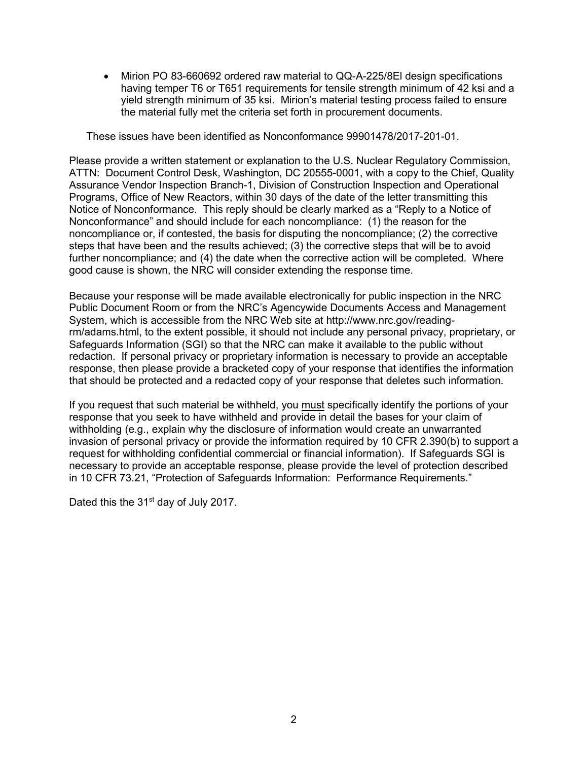• Mirion PO 83-660692 ordered raw material to QQ-A-225/8El design specifications having temper T6 or T651 requirements for tensile strength minimum of 42 ksi and a yield strength minimum of 35 ksi. Mirion's material testing process failed to ensure the material fully met the criteria set forth in procurement documents.

These issues have been identified as Nonconformance 99901478/2017-201-01.

Please provide a written statement or explanation to the U.S. Nuclear Regulatory Commission, ATTN: Document Control Desk, Washington, DC 20555-0001, with a copy to the Chief, Quality Assurance Vendor Inspection Branch-1, Division of Construction Inspection and Operational Programs, Office of New Reactors, within 30 days of the date of the letter transmitting this Notice of Nonconformance. This reply should be clearly marked as a "Reply to a Notice of Nonconformance" and should include for each noncompliance: (1) the reason for the noncompliance or, if contested, the basis for disputing the noncompliance; (2) the corrective steps that have been and the results achieved; (3) the corrective steps that will be to avoid further noncompliance; and (4) the date when the corrective action will be completed. Where good cause is shown, the NRC will consider extending the response time.

Because your response will be made available electronically for public inspection in the NRC Public Document Room or from the NRC's Agencywide Documents Access and Management System, which is accessible from the NRC Web site at http://www.nrc.gov/readingrm/adams.html, to the extent possible, it should not include any personal privacy, proprietary, or Safeguards Information (SGI) so that the NRC can make it available to the public without redaction. If personal privacy or proprietary information is necessary to provide an acceptable response, then please provide a bracketed copy of your response that identifies the information that should be protected and a redacted copy of your response that deletes such information.

If you request that such material be withheld, you must specifically identify the portions of your response that you seek to have withheld and provide in detail the bases for your claim of withholding (e.g., explain why the disclosure of information would create an unwarranted invasion of personal privacy or provide the information required by 10 CFR 2.390(b) to support a request for withholding confidential commercial or financial information). If Safeguards SGI is necessary to provide an acceptable response, please provide the level of protection described in 10 CFR 73.21, "Protection of Safeguards Information: Performance Requirements."

Dated this the 31<sup>st</sup> day of July 2017.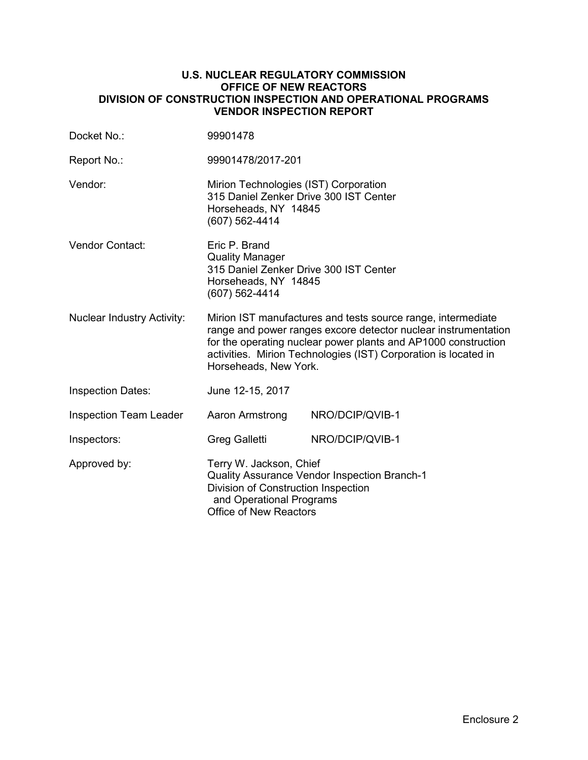### **U.S. NUCLEAR REGULATORY COMMISSION OFFICE OF NEW REACTORS DIVISION OF CONSTRUCTION INSPECTION AND OPERATIONAL PROGRAMS VENDOR INSPECTION REPORT**

| Docket No.:                       | 99901478                                                                                                                                                                                                                                                                                     |                 |  |
|-----------------------------------|----------------------------------------------------------------------------------------------------------------------------------------------------------------------------------------------------------------------------------------------------------------------------------------------|-----------------|--|
| Report No.:                       | 99901478/2017-201                                                                                                                                                                                                                                                                            |                 |  |
| Vendor:                           | Mirion Technologies (IST) Corporation<br>315 Daniel Zenker Drive 300 IST Center<br>Horseheads, NY 14845<br>(607) 562-4414                                                                                                                                                                    |                 |  |
| <b>Vendor Contact:</b>            | Eric P. Brand<br><b>Quality Manager</b><br>315 Daniel Zenker Drive 300 IST Center<br>Horseheads, NY 14845<br>(607) 562-4414                                                                                                                                                                  |                 |  |
| <b>Nuclear Industry Activity:</b> | Mirion IST manufactures and tests source range, intermediate<br>range and power ranges excore detector nuclear instrumentation<br>for the operating nuclear power plants and AP1000 construction<br>activities. Mirion Technologies (IST) Corporation is located in<br>Horseheads, New York. |                 |  |
| <b>Inspection Dates:</b>          | June 12-15, 2017                                                                                                                                                                                                                                                                             |                 |  |
| <b>Inspection Team Leader</b>     | Aaron Armstrong                                                                                                                                                                                                                                                                              | NRO/DCIP/QVIB-1 |  |
| Inspectors:                       | <b>Greg Galletti</b>                                                                                                                                                                                                                                                                         | NRO/DCIP/QVIB-1 |  |
| Approved by:                      | Terry W. Jackson, Chief<br><b>Quality Assurance Vendor Inspection Branch-1</b><br>Division of Construction Inspection<br>and Operational Programs<br><b>Office of New Reactors</b>                                                                                                           |                 |  |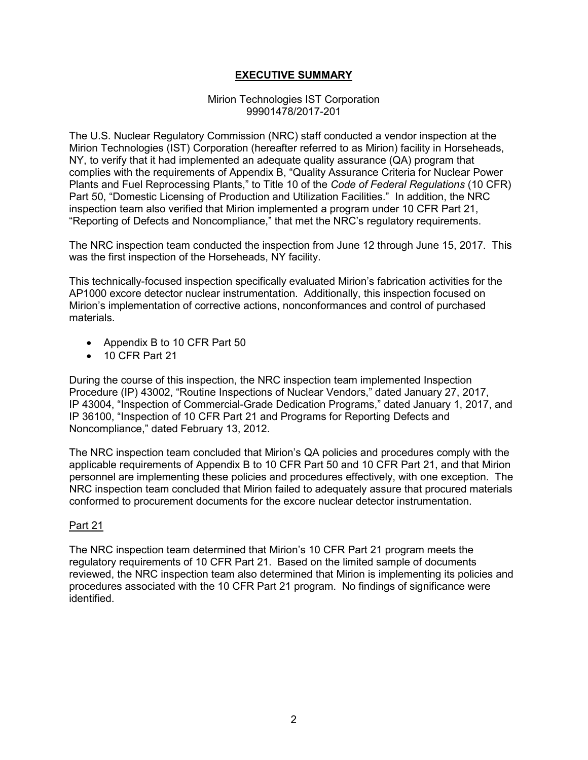# **EXECUTIVE SUMMARY**

#### Mirion Technologies IST Corporation 99901478/2017-201

The U.S. Nuclear Regulatory Commission (NRC) staff conducted a vendor inspection at the Mirion Technologies (IST) Corporation (hereafter referred to as Mirion) facility in Horseheads, NY, to verify that it had implemented an adequate quality assurance (QA) program that complies with the requirements of Appendix B, "Quality Assurance Criteria for Nuclear Power Plants and Fuel Reprocessing Plants," to Title 10 of the *Code of Federal Regulations* (10 CFR) Part 50, "Domestic Licensing of Production and Utilization Facilities." In addition, the NRC inspection team also verified that Mirion implemented a program under 10 CFR Part 21, "Reporting of Defects and Noncompliance," that met the NRC's regulatory requirements.

The NRC inspection team conducted the inspection from June 12 through June 15, 2017. This was the first inspection of the Horseheads, NY facility.

This technically-focused inspection specifically evaluated Mirion's fabrication activities for the AP1000 excore detector nuclear instrumentation. Additionally, this inspection focused on Mirion's implementation of corrective actions, nonconformances and control of purchased materials.

- Appendix B to 10 CFR Part 50
- 10 CFR Part 21

During the course of this inspection, the NRC inspection team implemented Inspection Procedure (IP) 43002, "Routine Inspections of Nuclear Vendors," dated January 27, 2017, IP 43004, "Inspection of Commercial-Grade Dedication Programs," dated January 1, 2017, and IP 36100, "Inspection of 10 CFR Part 21 and Programs for Reporting Defects and Noncompliance," dated February 13, 2012.

The NRC inspection team concluded that Mirion's QA policies and procedures comply with the applicable requirements of Appendix B to 10 CFR Part 50 and 10 CFR Part 21, and that Mirion personnel are implementing these policies and procedures effectively, with one exception. The NRC inspection team concluded that Mirion failed to adequately assure that procured materials conformed to procurement documents for the excore nuclear detector instrumentation.

## Part 21

The NRC inspection team determined that Mirion's 10 CFR Part 21 program meets the regulatory requirements of 10 CFR Part 21. Based on the limited sample of documents reviewed, the NRC inspection team also determined that Mirion is implementing its policies and procedures associated with the 10 CFR Part 21 program. No findings of significance were identified.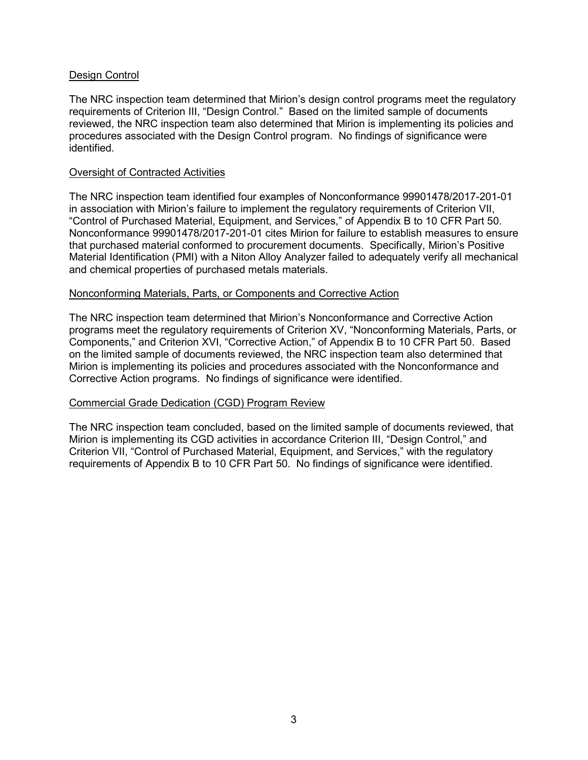### Design Control

The NRC inspection team determined that Mirion's design control programs meet the regulatory requirements of Criterion III, "Design Control." Based on the limited sample of documents reviewed, the NRC inspection team also determined that Mirion is implementing its policies and procedures associated with the Design Control program. No findings of significance were identified.

#### Oversight of Contracted Activities

The NRC inspection team identified four examples of Nonconformance 99901478/2017-201-01 in association with Mirion's failure to implement the regulatory requirements of Criterion VII, "Control of Purchased Material, Equipment, and Services," of Appendix B to 10 CFR Part 50. Nonconformance 99901478/2017-201-01 cites Mirion for failure to establish measures to ensure that purchased material conformed to procurement documents. Specifically, Mirion's Positive Material Identification (PMI) with a Niton Alloy Analyzer failed to adequately verify all mechanical and chemical properties of purchased metals materials.

#### Nonconforming Materials, Parts, or Components and Corrective Action

The NRC inspection team determined that Mirion's Nonconformance and Corrective Action programs meet the regulatory requirements of Criterion XV, "Nonconforming Materials, Parts, or Components," and Criterion XVI, "Corrective Action," of Appendix B to 10 CFR Part 50. Based on the limited sample of documents reviewed, the NRC inspection team also determined that Mirion is implementing its policies and procedures associated with the Nonconformance and Corrective Action programs. No findings of significance were identified.

#### Commercial Grade Dedication (CGD) Program Review

The NRC inspection team concluded, based on the limited sample of documents reviewed, that Mirion is implementing its CGD activities in accordance Criterion III, "Design Control," and Criterion VII, "Control of Purchased Material, Equipment, and Services," with the regulatory requirements of Appendix B to 10 CFR Part 50. No findings of significance were identified.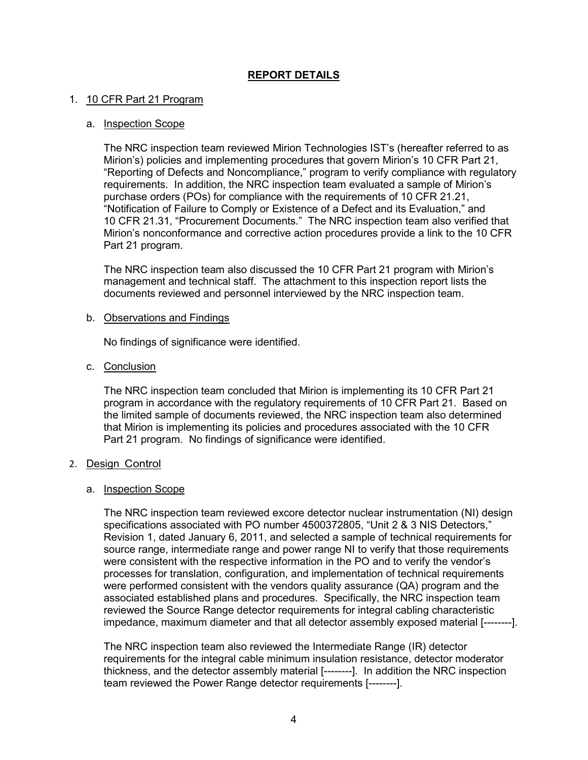# **REPORT DETAILS**

### 1. 10 CFR Part 21 Program

#### a. Inspection Scope

The NRC inspection team reviewed Mirion Technologies IST's (hereafter referred to as Mirion's) policies and implementing procedures that govern Mirion's 10 CFR Part 21, "Reporting of Defects and Noncompliance," program to verify compliance with regulatory requirements. In addition, the NRC inspection team evaluated a sample of Mirion's purchase orders (POs) for compliance with the requirements of 10 CFR 21.21, "Notification of Failure to Comply or Existence of a Defect and its Evaluation," and 10 CFR 21.31, "Procurement Documents." The NRC inspection team also verified that Mirion's nonconformance and corrective action procedures provide a link to the 10 CFR Part 21 program.

The NRC inspection team also discussed the 10 CFR Part 21 program with Mirion's management and technical staff. The attachment to this inspection report lists the documents reviewed and personnel interviewed by the NRC inspection team.

#### b. Observations and Findings

No findings of significance were identified.

c. Conclusion

The NRC inspection team concluded that Mirion is implementing its 10 CFR Part 21 program in accordance with the regulatory requirements of 10 CFR Part 21. Based on the limited sample of documents reviewed, the NRC inspection team also determined that Mirion is implementing its policies and procedures associated with the 10 CFR Part 21 program. No findings of significance were identified.

#### 2. Design Control

#### a. Inspection Scope

The NRC inspection team reviewed excore detector nuclear instrumentation (NI) design specifications associated with PO number 4500372805, "Unit 2 & 3 NIS Detectors," Revision 1, dated January 6, 2011, and selected a sample of technical requirements for source range, intermediate range and power range NI to verify that those requirements were consistent with the respective information in the PO and to verify the vendor's processes for translation, configuration, and implementation of technical requirements were performed consistent with the vendors quality assurance (QA) program and the associated established plans and procedures. Specifically, the NRC inspection team reviewed the Source Range detector requirements for integral cabling characteristic impedance, maximum diameter and that all detector assembly exposed material [--------].

The NRC inspection team also reviewed the Intermediate Range (IR) detector requirements for the integral cable minimum insulation resistance, detector moderator thickness, and the detector assembly material [--------]. In addition the NRC inspection team reviewed the Power Range detector requirements [--------].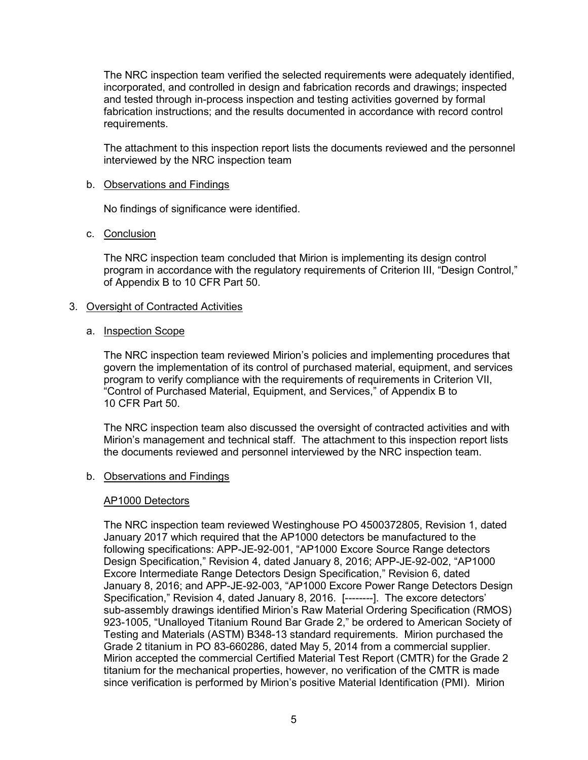The NRC inspection team verified the selected requirements were adequately identified, incorporated, and controlled in design and fabrication records and drawings; inspected and tested through in-process inspection and testing activities governed by formal fabrication instructions; and the results documented in accordance with record control requirements.

The attachment to this inspection report lists the documents reviewed and the personnel interviewed by the NRC inspection team

### b. Observations and Findings

No findings of significance were identified.

### c. Conclusion

The NRC inspection team concluded that Mirion is implementing its design control program in accordance with the regulatory requirements of Criterion III, "Design Control," of Appendix B to 10 CFR Part 50.

### 3. Oversight of Contracted Activities

### a. Inspection Scope

The NRC inspection team reviewed Mirion's policies and implementing procedures that govern the implementation of its control of purchased material, equipment, and services program to verify compliance with the requirements of requirements in Criterion VII, "Control of Purchased Material, Equipment, and Services," of Appendix B to 10 CFR Part 50.

The NRC inspection team also discussed the oversight of contracted activities and with Mirion's management and technical staff. The attachment to this inspection report lists the documents reviewed and personnel interviewed by the NRC inspection team.

#### b. Observations and Findings

#### AP1000 Detectors

The NRC inspection team reviewed Westinghouse PO 4500372805, Revision 1, dated January 2017 which required that the AP1000 detectors be manufactured to the following specifications: APP-JE-92-001, "AP1000 Excore Source Range detectors Design Specification," Revision 4, dated January 8, 2016; APP-JE-92-002, "AP1000 Excore Intermediate Range Detectors Design Specification," Revision 6, dated January 8, 2016; and APP-JE-92-003, "AP1000 Excore Power Range Detectors Design Specification," Revision 4, dated January 8, 2016. [--------]. The excore detectors' sub-assembly drawings identified Mirion's Raw Material Ordering Specification (RMOS) 923-1005, "Unalloyed Titanium Round Bar Grade 2," be ordered to American Society of Testing and Materials (ASTM) B348-13 standard requirements. Mirion purchased the Grade 2 titanium in PO 83-660286, dated May 5, 2014 from a commercial supplier. Mirion accepted the commercial Certified Material Test Report (CMTR) for the Grade 2 titanium for the mechanical properties, however, no verification of the CMTR is made since verification is performed by Mirion's positive Material Identification (PMI). Mirion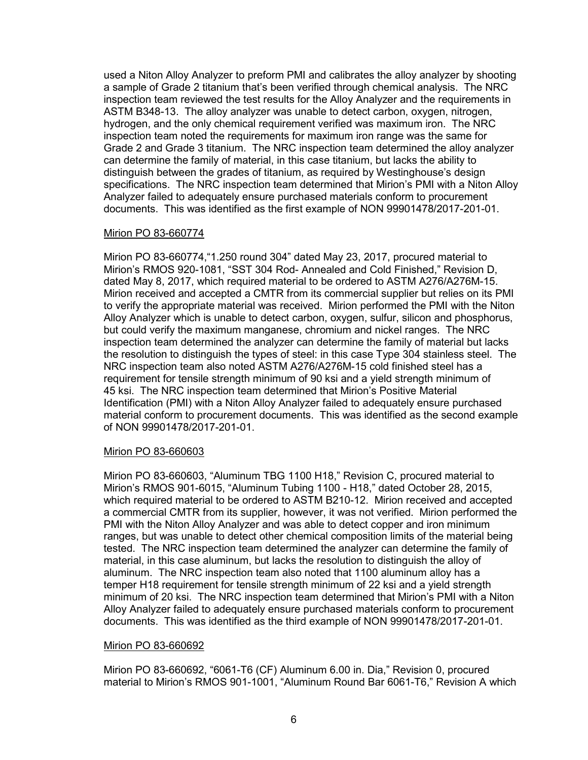used a Niton Alloy Analyzer to preform PMI and calibrates the alloy analyzer by shooting a sample of Grade 2 titanium that's been verified through chemical analysis. The NRC inspection team reviewed the test results for the Alloy Analyzer and the requirements in ASTM B348-13. The alloy analyzer was unable to detect carbon, oxygen, nitrogen, hydrogen, and the only chemical requirement verified was maximum iron. The NRC inspection team noted the requirements for maximum iron range was the same for Grade 2 and Grade 3 titanium. The NRC inspection team determined the alloy analyzer can determine the family of material, in this case titanium, but lacks the ability to distinguish between the grades of titanium, as required by Westinghouse's design specifications. The NRC inspection team determined that Mirion's PMI with a Niton Alloy Analyzer failed to adequately ensure purchased materials conform to procurement documents. This was identified as the first example of NON 99901478/2017-201-01.

### Mirion PO 83-660774

Mirion PO 83-660774,"1.250 round 304" dated May 23, 2017, procured material to Mirion's RMOS 920-1081, "SST 304 Rod- Annealed and Cold Finished," Revision D, dated May 8, 2017, which required material to be ordered to ASTM A276/A276M-15. Mirion received and accepted a CMTR from its commercial supplier but relies on its PMI to verify the appropriate material was received. Mirion performed the PMI with the Niton Alloy Analyzer which is unable to detect carbon, oxygen, sulfur, silicon and phosphorus, but could verify the maximum manganese, chromium and nickel ranges. The NRC inspection team determined the analyzer can determine the family of material but lacks the resolution to distinguish the types of steel: in this case Type 304 stainless steel. The NRC inspection team also noted ASTM A276/A276M-15 cold finished steel has a requirement for tensile strength minimum of 90 ksi and a yield strength minimum of 45 ksi. The NRC inspection team determined that Mirion's Positive Material Identification (PMI) with a Niton Alloy Analyzer failed to adequately ensure purchased material conform to procurement documents. This was identified as the second example of NON 99901478/2017-201-01.

#### Mirion PO 83-660603

Mirion PO 83-660603, "Aluminum TBG 1100 H18," Revision C, procured material to Mirion's RMOS 901-6015, "Aluminum Tubing 1100 - H18," dated October 28, 2015, which required material to be ordered to ASTM B210-12. Mirion received and accepted a commercial CMTR from its supplier, however, it was not verified. Mirion performed the PMI with the Niton Alloy Analyzer and was able to detect copper and iron minimum ranges, but was unable to detect other chemical composition limits of the material being tested. The NRC inspection team determined the analyzer can determine the family of material, in this case aluminum, but lacks the resolution to distinguish the alloy of aluminum. The NRC inspection team also noted that 1100 aluminum alloy has a temper H18 requirement for tensile strength minimum of 22 ksi and a yield strength minimum of 20 ksi. The NRC inspection team determined that Mirion's PMI with a Niton Alloy Analyzer failed to adequately ensure purchased materials conform to procurement documents. This was identified as the third example of NON 99901478/2017-201-01.

#### Mirion PO 83-660692

Mirion PO 83-660692, "6061-T6 (CF) Aluminum 6.00 in. Dia," Revision 0, procured material to Mirion's RMOS 901-1001, "Aluminum Round Bar 6061-T6," Revision A which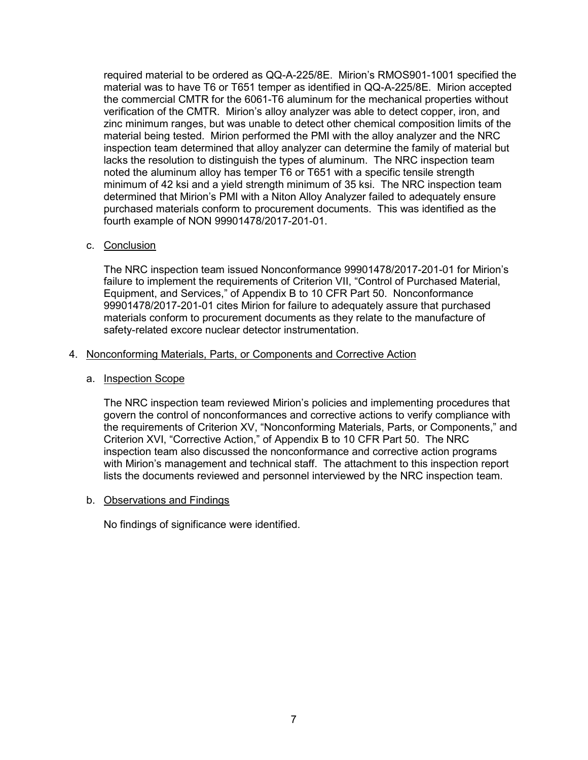required material to be ordered as QQ-A-225/8E. Mirion's RMOS901-1001 specified the material was to have T6 or T651 temper as identified in QQ-A-225/8E. Mirion accepted the commercial CMTR for the 6061-T6 aluminum for the mechanical properties without verification of the CMTR. Mirion's alloy analyzer was able to detect copper, iron, and zinc minimum ranges, but was unable to detect other chemical composition limits of the material being tested. Mirion performed the PMI with the alloy analyzer and the NRC inspection team determined that alloy analyzer can determine the family of material but lacks the resolution to distinguish the types of aluminum. The NRC inspection team noted the aluminum alloy has temper T6 or T651 with a specific tensile strength minimum of 42 ksi and a yield strength minimum of 35 ksi. The NRC inspection team determined that Mirion's PMI with a Niton Alloy Analyzer failed to adequately ensure purchased materials conform to procurement documents. This was identified as the fourth example of NON 99901478/2017-201-01.

### c. Conclusion

The NRC inspection team issued Nonconformance 99901478/2017-201-01 for Mirion's failure to implement the requirements of Criterion VII, "Control of Purchased Material, Equipment, and Services," of Appendix B to 10 CFR Part 50. Nonconformance 99901478/2017-201-01 cites Mirion for failure to adequately assure that purchased materials conform to procurement documents as they relate to the manufacture of safety-related excore nuclear detector instrumentation.

### 4. Nonconforming Materials, Parts, or Components and Corrective Action

#### a. Inspection Scope

The NRC inspection team reviewed Mirion's policies and implementing procedures that govern the control of nonconformances and corrective actions to verify compliance with the requirements of Criterion XV, "Nonconforming Materials, Parts, or Components," and Criterion XVI, "Corrective Action," of Appendix B to 10 CFR Part 50. The NRC inspection team also discussed the nonconformance and corrective action programs with Mirion's management and technical staff. The attachment to this inspection report lists the documents reviewed and personnel interviewed by the NRC inspection team.

#### b. Observations and Findings

No findings of significance were identified.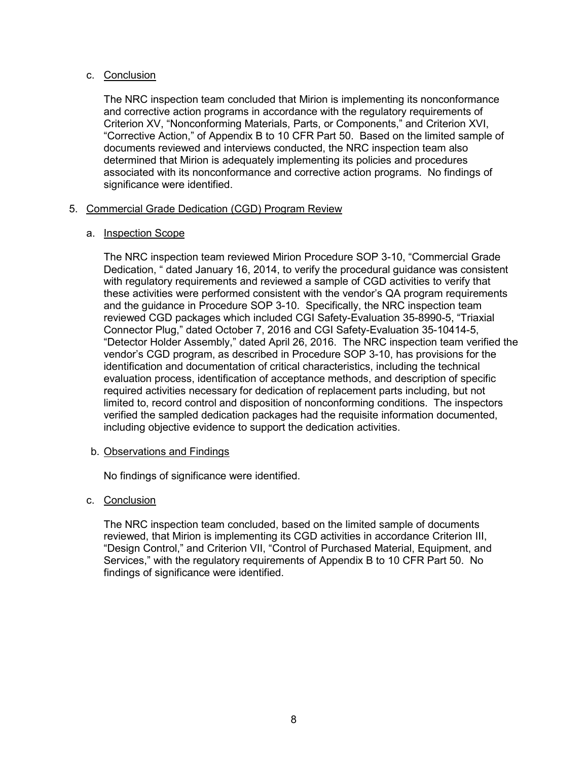## c. Conclusion

The NRC inspection team concluded that Mirion is implementing its nonconformance and corrective action programs in accordance with the regulatory requirements of Criterion XV, "Nonconforming Materials, Parts, or Components," and Criterion XVI, "Corrective Action," of Appendix B to 10 CFR Part 50. Based on the limited sample of documents reviewed and interviews conducted, the NRC inspection team also determined that Mirion is adequately implementing its policies and procedures associated with its nonconformance and corrective action programs. No findings of significance were identified.

# 5. Commercial Grade Dedication (CGD) Program Review

# a. Inspection Scope

The NRC inspection team reviewed Mirion Procedure SOP 3-10, "Commercial Grade Dedication, " dated January 16, 2014, to verify the procedural guidance was consistent with regulatory requirements and reviewed a sample of CGD activities to verify that these activities were performed consistent with the vendor's QA program requirements and the guidance in Procedure SOP 3-10. Specifically, the NRC inspection team reviewed CGD packages which included CGI Safety-Evaluation 35-8990-5, "Triaxial Connector Plug," dated October 7, 2016 and CGI Safety-Evaluation 35-10414-5, "Detector Holder Assembly," dated April 26, 2016. The NRC inspection team verified the vendor's CGD program, as described in Procedure SOP 3-10, has provisions for the identification and documentation of critical characteristics, including the technical evaluation process, identification of acceptance methods, and description of specific required activities necessary for dedication of replacement parts including, but not limited to, record control and disposition of nonconforming conditions. The inspectors verified the sampled dedication packages had the requisite information documented, including objective evidence to support the dedication activities.

## b. Observations and Findings

No findings of significance were identified.

# c. Conclusion

The NRC inspection team concluded, based on the limited sample of documents reviewed, that Mirion is implementing its CGD activities in accordance Criterion III, "Design Control," and Criterion VII, "Control of Purchased Material, Equipment, and Services," with the regulatory requirements of Appendix B to 10 CFR Part 50. No findings of significance were identified.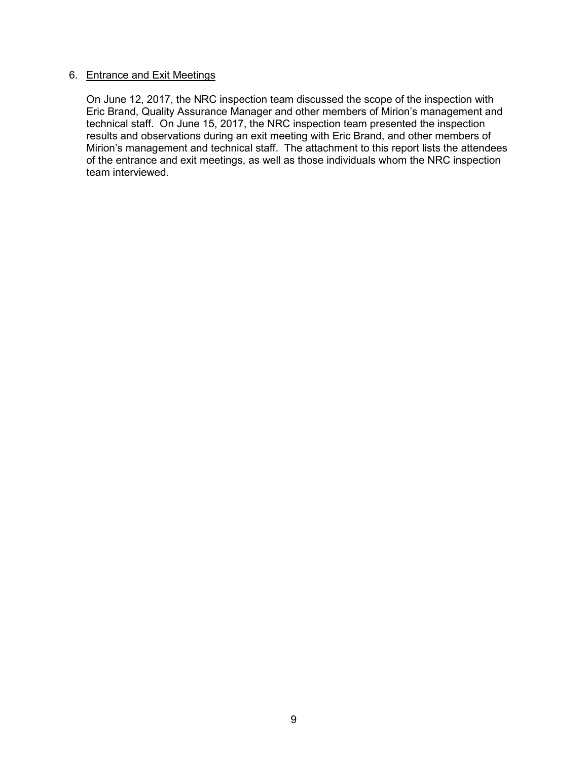### 6. Entrance and Exit Meetings

On June 12, 2017, the NRC inspection team discussed the scope of the inspection with Eric Brand, Quality Assurance Manager and other members of Mirion's management and technical staff. On June 15, 2017, the NRC inspection team presented the inspection results and observations during an exit meeting with Eric Brand, and other members of Mirion's management and technical staff. The attachment to this report lists the attendees of the entrance and exit meetings, as well as those individuals whom the NRC inspection team interviewed.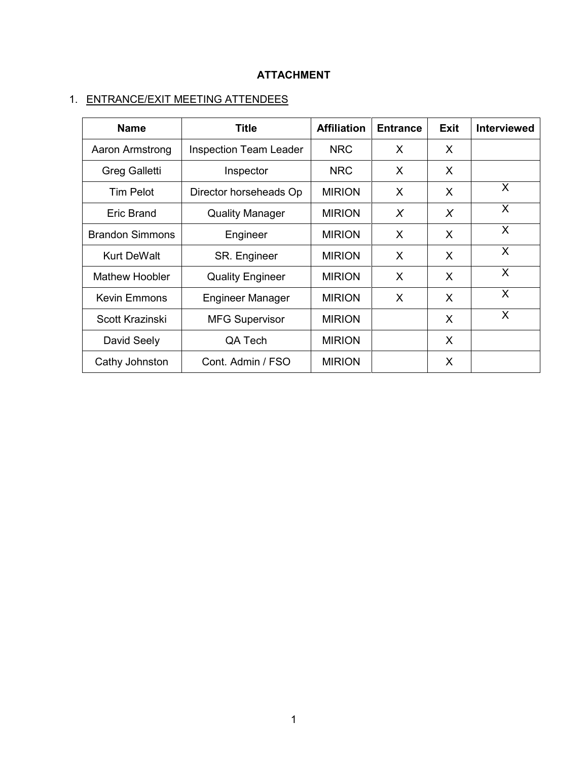# **ATTACHMENT**

# 1. ENTRANCE/EXIT MEETING ATTENDEES

| <b>Name</b>            | <b>Title</b>                  | <b>Affiliation</b> | <b>Entrance</b> | <b>Exit</b> | <b>Interviewed</b> |
|------------------------|-------------------------------|--------------------|-----------------|-------------|--------------------|
| Aaron Armstrong        | <b>Inspection Team Leader</b> | <b>NRC</b>         | X.              | X.          |                    |
| <b>Greg Galletti</b>   | Inspector                     | <b>NRC</b>         | X               | X.          |                    |
| <b>Tim Pelot</b>       | Director horseheads Op        | <b>MIRION</b>      | X               | X           | $\times$           |
| Eric Brand             | <b>Quality Manager</b>        | <b>MIRION</b>      | X               | X           | X                  |
| <b>Brandon Simmons</b> | Engineer                      | <b>MIRION</b>      | X               | X           | X                  |
| <b>Kurt DeWalt</b>     | SR. Engineer                  | <b>MIRION</b>      | X               | X           | X                  |
| <b>Mathew Hoobler</b>  | <b>Quality Engineer</b>       | <b>MIRION</b>      | X               | X           | X                  |
| <b>Kevin Emmons</b>    | <b>Engineer Manager</b>       | <b>MIRION</b>      | X               | X           | X                  |
| Scott Krazinski        | <b>MFG Supervisor</b>         | <b>MIRION</b>      |                 | X           | X                  |
| David Seely            | QA Tech                       | <b>MIRION</b>      |                 | X           |                    |
| Cathy Johnston         | Cont. Admin / FSO             | <b>MIRION</b>      |                 | X           |                    |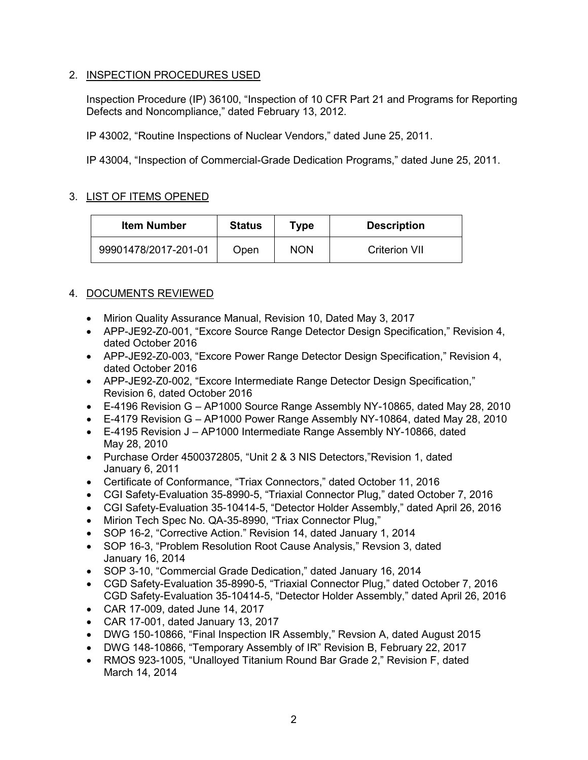# 2. INSPECTION PROCEDURES USED

Inspection Procedure (IP) 36100, "Inspection of 10 CFR Part 21 and Programs for Reporting Defects and Noncompliance," dated February 13, 2012.

IP 43002, "Routine Inspections of Nuclear Vendors," dated June 25, 2011.

IP 43004, "Inspection of Commercial-Grade Dedication Programs," dated June 25, 2011.

# 3. LIST OF ITEMS OPENED

| <b>Item Number</b>   | <b>Status</b> | Type       | <b>Description</b>   |
|----------------------|---------------|------------|----------------------|
| 99901478/2017-201-01 | Open          | <b>NON</b> | <b>Criterion VII</b> |

# 4. DOCUMENTS REVIEWED

- Mirion Quality Assurance Manual, Revision 10, Dated May 3, 2017
- APP-JE92-Z0-001, "Excore Source Range Detector Design Specification," Revision 4, dated October 2016
- APP-JE92-Z0-003, "Excore Power Range Detector Design Specification," Revision 4, dated October 2016
- APP-JE92-Z0-002, "Excore Intermediate Range Detector Design Specification," Revision 6, dated October 2016
- E-4196 Revision G AP1000 Source Range Assembly NY-10865, dated May 28, 2010
- E-4179 Revision G AP1000 Power Range Assembly NY-10864, dated May 28, 2010
- E-4195 Revision J AP1000 Intermediate Range Assembly NY-10866, dated May 28, 2010
- Purchase Order 4500372805, "Unit 2 & 3 NIS Detectors,"Revision 1, dated January 6, 2011
- Certificate of Conformance, "Triax Connectors," dated October 11, 2016
- CGI Safety-Evaluation 35-8990-5, "Triaxial Connector Plug," dated October 7, 2016
- CGI Safety-Evaluation 35-10414-5, "Detector Holder Assembly," dated April 26, 2016
- Mirion Tech Spec No. QA-35-8990, "Triax Connector Plug,"
- SOP 16-2, "Corrective Action." Revision 14, dated January 1, 2014
- SOP 16-3, "Problem Resolution Root Cause Analysis," Revsion 3, dated January 16, 2014
- SOP 3-10, "Commercial Grade Dedication," dated January 16, 2014
- CGD Safety-Evaluation 35-8990-5, "Triaxial Connector Plug," dated October 7, 2016 CGD Safety-Evaluation 35-10414-5, "Detector Holder Assembly," dated April 26, 2016
- CAR 17-009, dated June 14, 2017
- CAR 17-001, dated January 13, 2017
- DWG 150-10866, "Final Inspection IR Assembly," Revsion A, dated August 2015
- DWG 148-10866, "Temporary Assembly of IR" Revision B, February 22, 2017
- RMOS 923-1005, "Unalloyed Titanium Round Bar Grade 2," Revision F, dated March 14, 2014